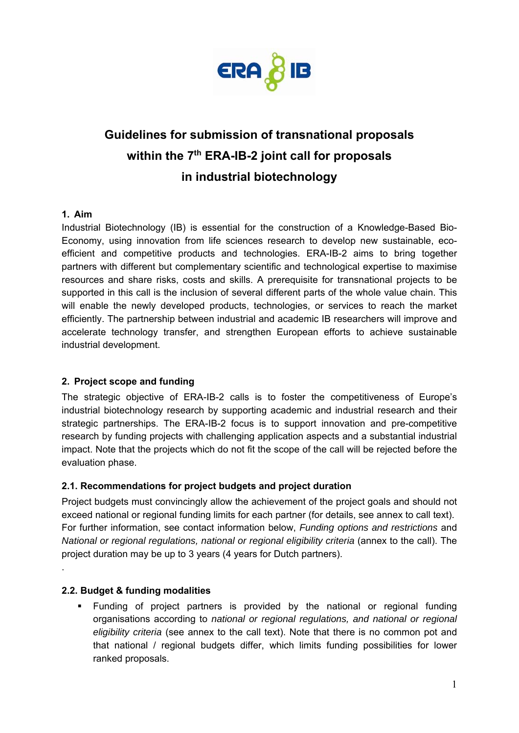

# **Guidelines for submission of transnational proposals**  within the 7<sup>th</sup> ERA-IB-2 joint call for proposals **in industrial biotechnology**

#### **1. Aim**

Industrial Biotechnology (IB) is essential for the construction of a Knowledge-Based Bio-Economy, using innovation from life sciences research to develop new sustainable, ecoefficient and competitive products and technologies. ERA-IB-2 aims to bring together partners with different but complementary scientific and technological expertise to maximise resources and share risks, costs and skills. A prerequisite for transnational projects to be supported in this call is the inclusion of several different parts of the whole value chain. This will enable the newly developed products, technologies, or services to reach the market efficiently. The partnership between industrial and academic IB researchers will improve and accelerate technology transfer, and strengthen European efforts to achieve sustainable industrial development.

## **2. Project scope and funding**

The strategic objective of ERA-IB-2 calls is to foster the competitiveness of Europe's industrial biotechnology research by supporting academic and industrial research and their strategic partnerships. The ERA-IB-2 focus is to support innovation and pre-competitive research by funding projects with challenging application aspects and a substantial industrial impact. Note that the projects which do not fit the scope of the call will be rejected before the evaluation phase.

## **2.1. Recommendations for project budgets and project duration**

Project budgets must convincingly allow the achievement of the project goals and should not exceed national or regional funding limits for each partner (for details, see annex to call text). For further information, see contact information below, *Funding options and restrictions* and *National or regional regulations, national or regional eligibility criteria* (annex to the call). The project duration may be up to 3 years (4 years for Dutch partners).

#### **2.2. Budget & funding modalities**

.

 Funding of project partners is provided by the national or regional funding organisations according to *national or regional regulations, and national or regional eligibility criteria* (see annex to the call text). Note that there is no common pot and that national / regional budgets differ, which limits funding possibilities for lower ranked proposals.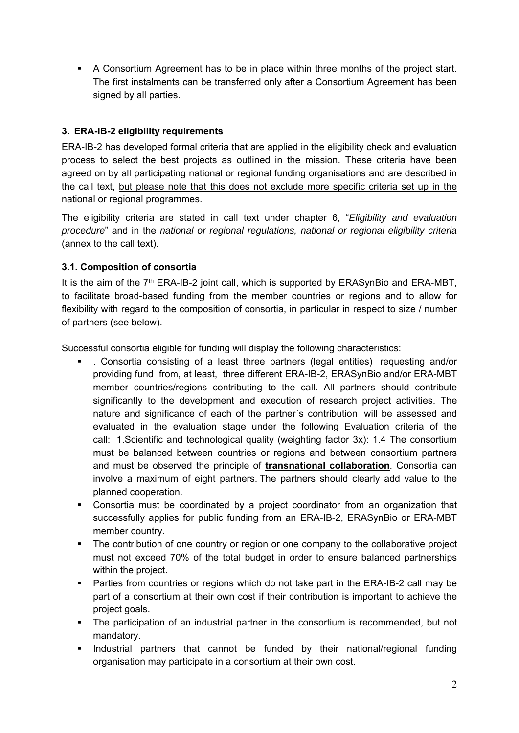A Consortium Agreement has to be in place within three months of the project start. The first instalments can be transferred only after a Consortium Agreement has been signed by all parties.

## **3. ERA-IB-2 eligibility requirements**

ERA-IB-2 has developed formal criteria that are applied in the eligibility check and evaluation process to select the best projects as outlined in the mission. These criteria have been agreed on by all participating national or regional funding organisations and are described in the call text, but please note that this does not exclude more specific criteria set up in the national or regional programmes.

The eligibility criteria are stated in call text under chapter 6, "*Eligibility and evaluation procedure*" and in the *national or regional regulations, national or regional eligibility criteria* (annex to the call text).

## **3.1. Composition of consortia**

It is the aim of the 7<sup>th</sup> ERA-IB-2 joint call, which is supported by ERASynBio and ERA-MBT, to facilitate broad-based funding from the member countries or regions and to allow for flexibility with regard to the composition of consortia, in particular in respect to size / number of partners (see below).

Successful consortia eligible for funding will display the following characteristics:

- . Consortia consisting of a least three partners (legal entities) requesting and/or providing fund from, at least, three different ERA-IB-2, ERASynBio and/or ERA-MBT member countries/regions contributing to the call. All partners should contribute significantly to the development and execution of research project activities. The nature and significance of each of the partner´s contribution will be assessed and evaluated in the evaluation stage under the following Evaluation criteria of the call: 1.Scientific and technological quality (weighting factor 3x): 1.4 The consortium must be balanced between countries or regions and between consortium partners and must be observed the principle of **transnational collaboration**. Consortia can involve a maximum of eight partners. The partners should clearly add value to the planned cooperation.
- Consortia must be coordinated by a project coordinator from an organization that successfully applies for public funding from an ERA-IB-2, ERASynBio or ERA-MBT member country.
- The contribution of one country or region or one company to the collaborative project must not exceed 70% of the total budget in order to ensure balanced partnerships within the project.
- Parties from countries or regions which do not take part in the ERA-IB-2 call may be part of a consortium at their own cost if their contribution is important to achieve the project goals.
- The participation of an industrial partner in the consortium is recommended, but not mandatory.
- **Industrial partners that cannot be funded by their national/regional funding** organisation may participate in a consortium at their own cost.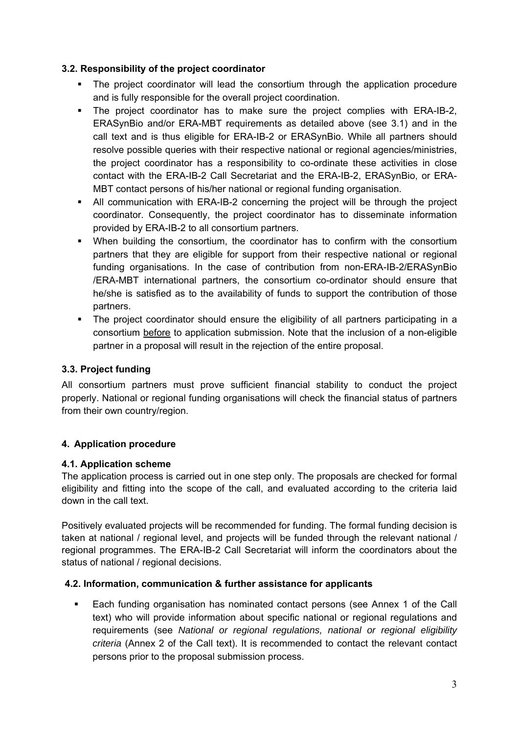## **3.2. Responsibility of the project coordinator**

- The project coordinator will lead the consortium through the application procedure and is fully responsible for the overall project coordination.
- The project coordinator has to make sure the project complies with ERA-IB-2, ERASynBio and/or ERA-MBT requirements as detailed above (see 3.1) and in the call text and is thus eligible for ERA-IB-2 or ERASynBio. While all partners should resolve possible queries with their respective national or regional agencies/ministries, the project coordinator has a responsibility to co-ordinate these activities in close contact with the ERA-IB-2 Call Secretariat and the ERA-IB-2, ERASynBio, or ERA-MBT contact persons of his/her national or regional funding organisation.
- All communication with ERA-IB-2 concerning the project will be through the project coordinator. Consequently, the project coordinator has to disseminate information provided by ERA-IB-2 to all consortium partners.
- When building the consortium, the coordinator has to confirm with the consortium partners that they are eligible for support from their respective national or regional funding organisations. In the case of contribution from non-ERA-IB-2/ERASynBio /ERA-MBT international partners, the consortium co-ordinator should ensure that he/she is satisfied as to the availability of funds to support the contribution of those partners.
- The project coordinator should ensure the eligibility of all partners participating in a consortium before to application submission. Note that the inclusion of a non-eligible partner in a proposal will result in the rejection of the entire proposal.

# **3.3. Project funding**

All consortium partners must prove sufficient financial stability to conduct the project properly. National or regional funding organisations will check the financial status of partners from their own country/region.

# **4. Application procedure**

## **4.1. Application scheme**

The application process is carried out in one step only. The proposals are checked for formal eligibility and fitting into the scope of the call, and evaluated according to the criteria laid down in the call text.

Positively evaluated projects will be recommended for funding. The formal funding decision is taken at national / regional level, and projects will be funded through the relevant national / regional programmes. The ERA-IB-2 Call Secretariat will inform the coordinators about the status of national / regional decisions.

## **4.2. Information, communication & further assistance for applicants**

**Each funding organisation has nominated contact persons (see Annex 1 of the Call** text) who will provide information about specific national or regional regulations and requirements (see *National or regional regulations, national or regional eligibility criteria* (Annex 2 of the Call text). It is recommended to contact the relevant contact persons prior to the proposal submission process.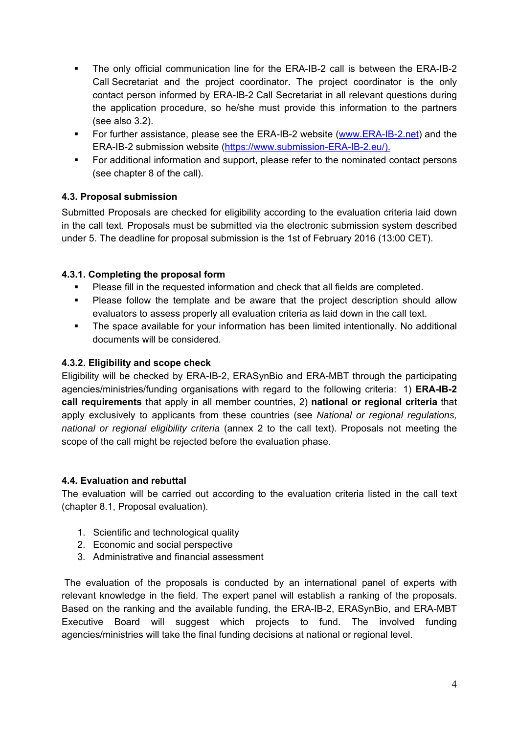- The only official communication line for the ERA-IB-2 call is between the ERA-IB-2 Call Secretariat and the project coordinator. The project coordinator is the only contact person informed by ERA-IB-2 Call Secretariat in all relevant questions during the application procedure, so he/she must provide this information to the partners (see also 3.2).
- For further assistance, please see the ERA-IB-2 website (www.ERA-IB-2.net) and the ERA-IB-2 submission website (https://www.submission-ERA-IB-2.eu/).
- For additional information and support, please refer to the nominated contact persons (see chapter 8 of the call).

## **4.3. Proposal submission**

Submitted Proposals are checked for eligibility according to the evaluation criteria laid down in the call text. Proposals must be submitted via the electronic submission system described under 5. The deadline for proposal submission is the 1st of February 2016 (13:00 CET).

## **4.3.1. Completing the proposal form**

- Please fill in the requested information and check that all fields are completed.
- Please follow the template and be aware that the project description should allow evaluators to assess properly all evaluation criteria as laid down in the call text.
- The space available for your information has been limited intentionally. No additional documents will be considered.

## **4.3.2. Eligibility and scope check**

Eligibility will be checked by ERA-IB-2, ERASynBio and ERA-MBT through the participating agencies/ministries/funding organisations with regard to the following criteria: 1) **ERA-IB-2 call requirements** that apply in all member countries, 2) **national or regional criteria** that apply exclusively to applicants from these countries (see *National or regional regulations, national or regional eligibility criteria* (annex 2 to the call text). Proposals not meeting the scope of the call might be rejected before the evaluation phase.

## **4.4. Evaluation and rebuttal**

The evaluation will be carried out according to the evaluation criteria listed in the call text (chapter 8.1, Proposal evaluation).

- 1. Scientific and technological quality
- 2. Economic and social perspective
- 3. Administrative and financial assessment

 The evaluation of the proposals is conducted by an international panel of experts with relevant knowledge in the field. The expert panel will establish a ranking of the proposals. Based on the ranking and the available funding, the ERA-IB-2, ERASynBio, and ERA-MBT Executive Board will suggest which projects to fund. The involved funding agencies/ministries will take the final funding decisions at national or regional level.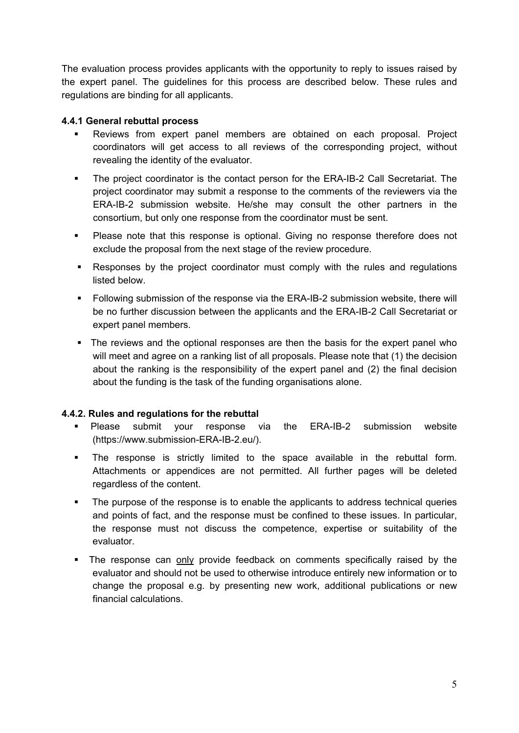The evaluation process provides applicants with the opportunity to reply to issues raised by the expert panel. The guidelines for this process are described below. These rules and regulations are binding for all applicants.

## **4.4.1 General rebuttal process**

- Reviews from expert panel members are obtained on each proposal. Project coordinators will get access to all reviews of the corresponding project, without revealing the identity of the evaluator.
- The project coordinator is the contact person for the ERA-IB-2 Call Secretariat. The project coordinator may submit a response to the comments of the reviewers via the ERA-IB-2 submission website. He/she may consult the other partners in the consortium, but only one response from the coordinator must be sent.
- Please note that this response is optional. Giving no response therefore does not exclude the proposal from the next stage of the review procedure.
- Responses by the project coordinator must comply with the rules and regulations listed below.
- Following submission of the response via the ERA-IB-2 submission website, there will be no further discussion between the applicants and the ERA-IB-2 Call Secretariat or expert panel members.
- The reviews and the optional responses are then the basis for the expert panel who will meet and agree on a ranking list of all proposals. Please note that (1) the decision about the ranking is the responsibility of the expert panel and (2) the final decision about the funding is the task of the funding organisations alone.

## **4.4.2. Rules and regulations for the rebuttal**

- Please submit your response via the ERA-IB-2 submission website (https://www.submission-ERA-IB-2.eu/).
- The response is strictly limited to the space available in the rebuttal form. Attachments or appendices are not permitted. All further pages will be deleted regardless of the content.
- The purpose of the response is to enable the applicants to address technical queries and points of fact, and the response must be confined to these issues. In particular, the response must not discuss the competence, expertise or suitability of the evaluator.
- The response can only provide feedback on comments specifically raised by the evaluator and should not be used to otherwise introduce entirely new information or to change the proposal e.g. by presenting new work, additional publications or new financial calculations.